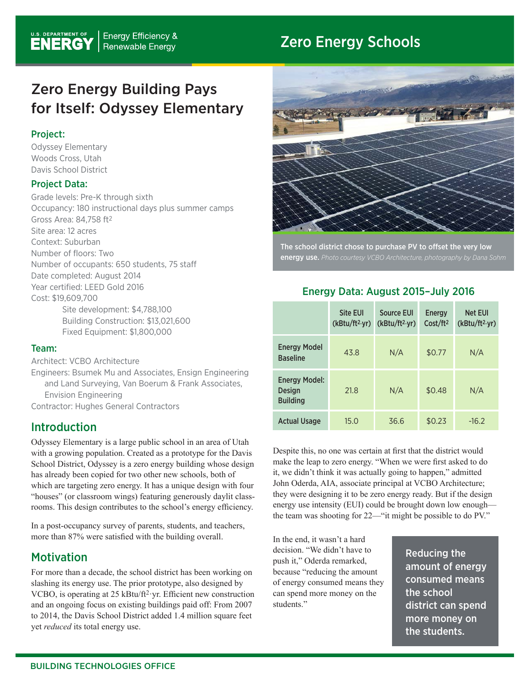# Zero Energy Schools

# Zero Energy Building Pays for Itself: Odyssey Elementary

#### Project:

Odyssey Elementary Woods Cross, Utah Davis School District

#### Project Data:

Grade levels: Pre-K through sixth Occupancy: 180 instructional days plus summer camps Gross Area: 84,758 ft2 Site area: 12 acres Context: Suburban Number of floors: Two Number of occupants: 650 students, 75 staff Date completed: August 2014 Year certified: LEED Gold 2016 Cost: \$19,609,700 Site development: \$4,788,100 Building Construction: \$13,021,600 Fixed Equipment: \$1,800,000

#### Team:

Architect: VCBO Architecture

Engineers: Bsumek Mu and Associates, Ensign Engineering and Land Surveying, Van Boerum & Frank Associates, Envision Engineering Contractor: Hughes General Contractors

## Introduction

Odyssey Elementary is a large public school in an area of Utah with a growing population. Created as a prototype for the Davis School District, Odyssey is a zero energy building whose design has already been copied for two other new schools, both of which are targeting zero energy. It has a unique design with four "houses" (or classroom wings) featuring generously daylit classrooms. This design contributes to the school's energy efficiency.

In a post-occupancy survey of parents, students, and teachers, more than 87% were satisfied with the building overall.

## **Motivation**

For more than a decade, the school district has been working on slashing its energy use. The prior prototype, also designed by VCBO, is operating at 25 kBtu/ft<sup>2</sup> yr. Efficient new construction and an ongoing focus on existing buildings paid off: From 2007 to 2014, the Davis School District added 1.4 million square feet yet *reduced* its total energy use.



The school district chose to purchase PV to offset the very low energy use. *Photo courtesy VCBO Architecture, photography by Dana Sohm*

#### Energy Data: August 2015–July 2016

|                                                          | <b>Site EUI</b><br>(kBtu/ft <sup>2</sup> ·yr) | <b>Source EUI</b><br>(kBtu/ft <sup>2</sup> ·yr) | Energy<br>Cost/ft <sup>2</sup> | <b>Net EUI</b><br>(kBtu/ft <sup>2</sup> .yr) |
|----------------------------------------------------------|-----------------------------------------------|-------------------------------------------------|--------------------------------|----------------------------------------------|
| <b>Energy Model</b><br><b>Baseline</b>                   | 43.8                                          | N/A                                             | \$0.77                         | N/A                                          |
| <b>Energy Model:</b><br><b>Design</b><br><b>Building</b> | 21.8                                          | N/A                                             | \$0.48                         | N/A                                          |
| <b>Actual Usage</b>                                      | 15.0                                          | 36.6                                            | \$0.23                         | $-16.2$                                      |

Despite this, no one was certain at first that the district would make the leap to zero energy. "When we were first asked to do it, we didn't think it was actually going to happen," admitted John Oderda, AIA, associate principal at VCBO Architecture; they were designing it to be zero energy ready. But if the design energy use intensity (EUI) could be brought down low enough the team was shooting for 22—"it might be possible to do PV."

In the end, it wasn't a hard decision. "We didn't have to push it," Oderda remarked, because "reducing the amount of energy consumed means they can spend more money on the students."

Reducing the amount of energy consumed means the school district can spend more money on the students.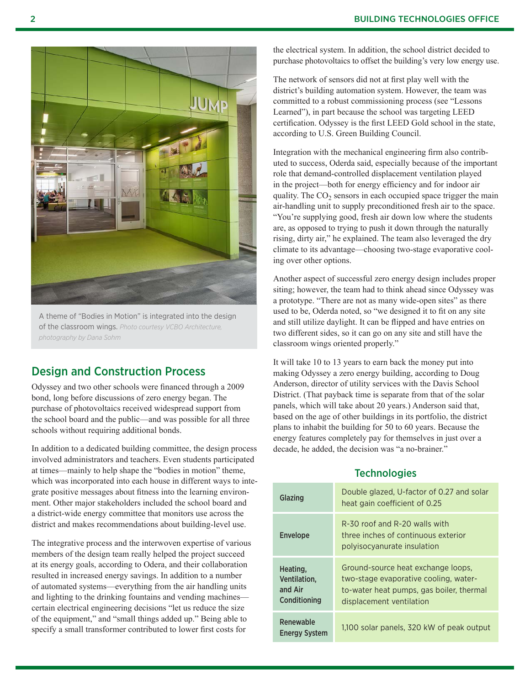

A theme of "Bodies in Motion" is integrated into the design of the classroom wings. *Photo courtesy VCBO Architecture, photography by Dana Sohm*

## Design and Construction Process

Odyssey and two other schools were financed through a 2009 bond, long before discussions of zero energy began. The purchase of photovoltaics received widespread support from the school board and the public—and was possible for all three schools without requiring additional bonds.

In addition to a dedicated building committee, the design process involved administrators and teachers. Even students participated at times—mainly to help shape the "bodies in motion" theme, which was incorporated into each house in different ways to integrate positive messages about fitness into the learning environment. Other major stakeholders included the school board and a district-wide energy committee that monitors use across the district and makes recommendations about building-level use.

The integrative process and the interwoven expertise of various members of the design team really helped the project succeed at its energy goals, according to Odera, and their collaboration resulted in increased energy savings. In addition to a number of automated systems—everything from the air handling units and lighting to the drinking fountains and vending machines certain electrical engineering decisions "let us reduce the size of the equipment," and "small things added up." Being able to specify a small transformer contributed to lower first costs for

the electrical system. In addition, the school district decided to purchase photovoltaics to offset the building's very low energy use.

The network of sensors did not at first play well with the district's building automation system. However, the team was committed to a robust commissioning process (see "Lessons Learned"), in part because the school was targeting LEED certification. Odyssey is the first LEED Gold school in the state, according to U.S. Green Building Council.

Integration with the mechanical engineering firm also contributed to success, Oderda said, especially because of the important role that demand-controlled displacement ventilation played in the project—both for energy efficiency and for indoor air quality. The  $CO<sub>2</sub>$  sensors in each occupied space trigger the main air-handling unit to supply preconditioned fresh air to the space. "You're supplying good, fresh air down low where the students are, as opposed to trying to push it down through the naturally rising, dirty air," he explained. The team also leveraged the dry climate to its advantage—choosing two-stage evaporative cooling over other options.

Another aspect of successful zero energy design includes proper siting; however, the team had to think ahead since Odyssey was a prototype. "There are not as many wide-open sites" as there used to be, Oderda noted, so "we designed it to fit on any site and still utilize daylight. It can be flipped and have entries on two different sides, so it can go on any site and still have the classroom wings oriented properly."

It will take 10 to 13 years to earn back the money put into making Odyssey a zero energy building, according to Doug Anderson, director of utility services with the Davis School District. (That payback time is separate from that of the solar panels, which will take about 20 years.) Anderson said that, based on the age of other buildings in its portfolio, the district plans to inhabit the building for 50 to 60 years. Because the energy features completely pay for themselves in just over a decade, he added, the decision was "a no-brainer."

#### **Technologies**

| Glazing                                             | Double glazed, U-factor of 0.27 and solar<br>heat gain coefficient of 0.25                                                                          |
|-----------------------------------------------------|-----------------------------------------------------------------------------------------------------------------------------------------------------|
| <b>Envelope</b>                                     | R-30 roof and R-20 walls with<br>three inches of continuous exterior<br>polyisocyanurate insulation                                                 |
| Heating,<br>Ventilation.<br>and Air<br>Conditioning | Ground-source heat exchange loops,<br>two-stage evaporative cooling, water-<br>to-water heat pumps, gas boiler, thermal<br>displacement ventilation |
| Renewable<br><b>Energy System</b>                   | 1,100 solar panels, 320 kW of peak output                                                                                                           |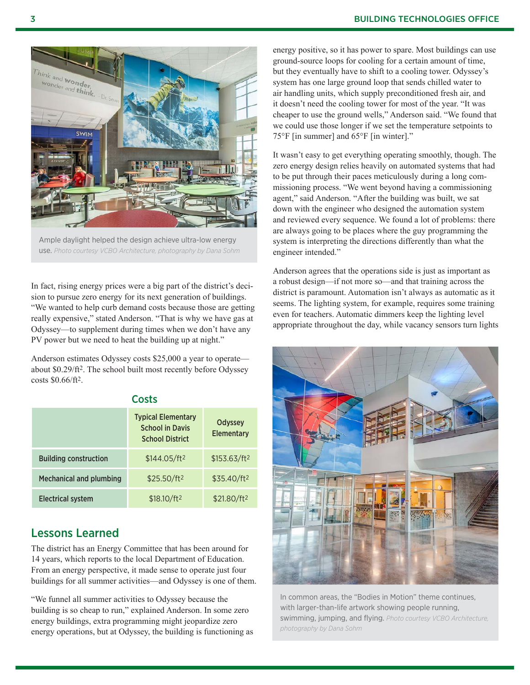

Ample daylight helped the design achieve ultra-low energy use. *Photo courtesy VCBO Architecture, photography by Dana Sohm* 

In fact, rising energy prices were a big part of the district's decision to pursue zero energy for its next generation of buildings. "We wanted to help curb demand costs because those are getting really expensive," stated Anderson. "That is why we have gas at Odyssey—to supplement during times when we don't have any PV power but we need to heat the building up at night."

Anderson estimates Odyssey costs \$25,000 a year to operate about \$0.29/ft2. The school built most recently before Odyssey costs \$0.66/ft2.

**Costs** 

|                                | <b>Typical Elementary</b><br><b>School in Davis</b><br><b>School District</b> | Odyssey<br>Elementary    |
|--------------------------------|-------------------------------------------------------------------------------|--------------------------|
| <b>Building construction</b>   | \$144.05/ft <sup>2</sup>                                                      | \$153.63/ft <sup>2</sup> |
| <b>Mechanical and plumbing</b> | \$25.50/ft <sup>2</sup>                                                       | \$35.40/ft <sup>2</sup>  |
| <b>Electrical system</b>       | \$18.10/ft <sup>2</sup>                                                       | \$21.80/ft <sup>2</sup>  |

#### Lessons Learned

The district has an Energy Committee that has been around for 14 years, which reports to the local Department of Education. From an energy perspective, it made sense to operate just four buildings for all summer activities—and Odyssey is one of them.

"We funnel all summer activities to Odyssey because the building is so cheap to run," explained Anderson. In some zero energy buildings, extra programming might jeopardize zero energy operations, but at Odyssey, the building is functioning as

energy positive, so it has power to spare. Most buildings can use ground-source loops for cooling for a certain amount of time, but they eventually have to shift to a cooling tower. Odyssey's system has one large ground loop that sends chilled water to air handling units, which supply preconditioned fresh air, and it doesn't need the cooling tower for most of the year. "It was cheaper to use the ground wells," Anderson said. "We found that we could use those longer if we set the temperature setpoints to 75°F [in summer] and 65°F [in winter]."

It wasn't easy to get everything operating smoothly, though. The zero energy design relies heavily on automated systems that had to be put through their paces meticulously during a long commissioning process. "We went beyond having a commissioning agent," said Anderson. "After the building was built, we sat down with the engineer who designed the automation system and reviewed every sequence. We found a lot of problems: there are always going to be places where the guy programming the system is interpreting the directions differently than what the engineer intended."

Anderson agrees that the operations side is just as important as a robust design—if not more so—and that training across the district is paramount. Automation isn't always as automatic as it seems. The lighting system, for example, requires some training even for teachers. Automatic dimmers keep the lighting level appropriate throughout the day, while vacancy sensors turn lights



In common areas, the "Bodies in Motion" theme continues, with larger-than-life artwork showing people running, swimming, jumping, and flying. *Photo courtesy VCBO Architecture, photography by Dana Sohm*